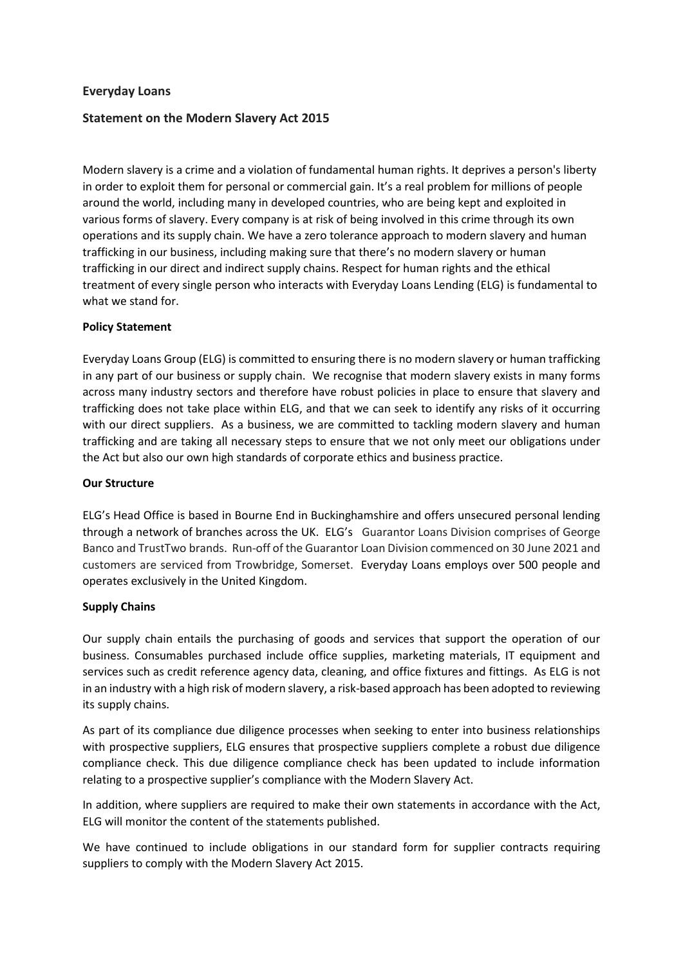# **Everyday Loans**

# **Statement on the Modern Slavery Act 2015**

Modern slavery is a crime and a violation of fundamental human rights. It deprives a person's liberty in order to exploit them for personal or commercial gain. It's a real problem for millions of people around the world, including many in developed countries, who are being kept and exploited in various forms of slavery. Every company is at risk of being involved in this crime through its own operations and its supply chain. We have a zero tolerance approach to modern slavery and human trafficking in our business, including making sure that there's no modern slavery or human trafficking in our direct and indirect supply chains. Respect for human rights and the ethical treatment of every single person who interacts with Everyday Loans Lending (ELG) is fundamental to what we stand for.

### **Policy Statement**

Everyday Loans Group (ELG) is committed to ensuring there is no modern slavery or human trafficking in any part of our business or supply chain. We recognise that modern slavery exists in many forms across many industry sectors and therefore have robust policies in place to ensure that slavery and trafficking does not take place within ELG, and that we can seek to identify any risks of it occurring with our direct suppliers. As a business, we are committed to tackling modern slavery and human trafficking and are taking all necessary steps to ensure that we not only meet our obligations under the Act but also our own high standards of corporate ethics and business practice.

#### **Our Structure**

ELG's Head Office is based in Bourne End in Buckinghamshire and offers unsecured personal lending through a network of branches across the UK. ELG's Guarantor Loans Division comprises of George Banco and TrustTwo brands. Run-off of the Guarantor Loan Division commenced on 30 June 2021 and customers are serviced from Trowbridge, Somerset. Everyday Loans employs over 500 people and operates exclusively in the United Kingdom.

### **Supply Chains**

Our supply chain entails the purchasing of goods and services that support the operation of our business. Consumables purchased include office supplies, marketing materials, IT equipment and services such as credit reference agency data, cleaning, and office fixtures and fittings. As ELG is not in an industry with a high risk of modern slavery, a risk-based approach has been adopted to reviewing its supply chains.

As part of its compliance due diligence processes when seeking to enter into business relationships with prospective suppliers, ELG ensures that prospective suppliers complete a robust due diligence compliance check. This due diligence compliance check has been updated to include information relating to a prospective supplier's compliance with the Modern Slavery Act.

In addition, where suppliers are required to make their own statements in accordance with the Act, ELG will monitor the content of the statements published.

We have continued to include obligations in our standard form for supplier contracts requiring suppliers to comply with the Modern Slavery Act 2015.